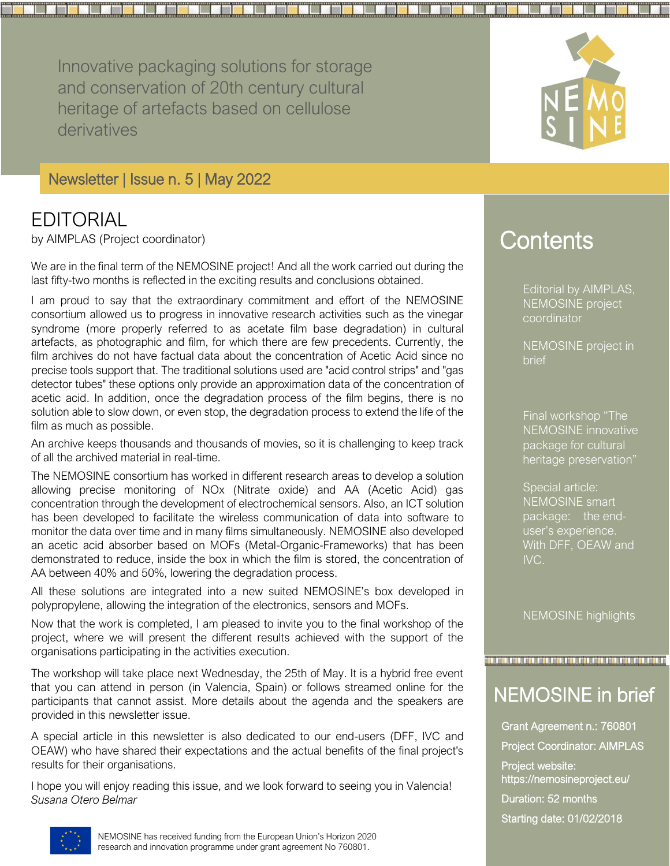Innovative packaging solutions for storage and conservation of 20th century cultural heritage of artefacts based on cellulose derivatives

#### Newsletter | Issue n. 5 | May 2022

# EDITORIAL

by AIMPLAS (Project coordinator)

We are in the final term of the NEMOSINE project! And all the work carried out during the last fifty-two months is reflected in the exciting results and conclusions obtained.

I am proud to say that the extraordinary commitment and effort of the NEMOSINE consortium allowed us to progress in innovative research activities such as the vinegar syndrome (more properly referred to as acetate film base degradation) in cultural artefacts, as photographic and film, for which there are few precedents. Currently, the film archives do not have factual data about the concentration of Acetic Acid since no precise tools support that. The traditional solutions used are "acid control strips" and "gas detector tubes" these options only provide an approximation data of the concentration of acetic acid. In addition, once the degradation process of the film begins, there is no solution able to slow down, or even stop, the degradation process to extend the life of the film as much as possible.

An archive keeps thousands and thousands of movies, so it is challenging to keep track of all the archived material in real-time.

The NEMOSINE consortium has worked in different research areas to develop a solution allowing precise monitoring of NOx (Nitrate oxide) and AA (Acetic Acid) gas concentration through the development of electrochemical sensors. Also, an ICT solution has been developed to facilitate the wireless communication of data into software to monitor the data over time and in many films simultaneously. NEMOSINE also developed an acetic acid absorber based on MOFs (Metal-Organic-Frameworks) that has been demonstrated to reduce, inside the box in which the film is stored, the concentration of AA between 40% and 50%, lowering the degradation process.

All these solutions are integrated into a new suited NEMOSINE's box developed in polypropylene, allowing the integration of the electronics, sensors and MOFs.

Now that the work is completed, I am pleased to invite you to the final workshop of the project, where we will present the different results achieved with the support of the organisations participating in the activities execution.

The workshop will take place next Wednesday, the 25th of May. It is a hybrid free event that you can attend in person (in Valencia, Spain) or follows streamed online for the participants that cannot assist. More details about the agenda and the speakers are provided in this newsletter issue.

A special article in this newsletter is also dedicated to our end-users (DFF, IVC and OEAW) who have shared their expectations and the actual benefits of the final project's results for their organisations.

I hope you will enjoy reading this issue, and we look forward to seeing you in Valencia! *Susana Otero Belmar*

> NEMOSINE has received funding from the European Union's Horizon 2020 research and innovation programme under grant agreement No 760801.



# **Contents**

Editorial by AIMPLAS, NEMOSINE project coordinator

NEMOSINE project in brief

Final workshop "The NEMOSINE innovative package for cultural heritage preservation"

Special article: NEMOSINE smart package: the enduser's experience. With DFF, OEAW and IVC.

NEMOSINE highlights

# NEMOSINE in brief

a sa mata mata na mata na mata na mata na mata na mata na mata na mata na mata na mata n

Grant Agreement n.: 760801 Project Coordinator: AIMPLAS Project website: https://nemosineproject.eu/

Duration: 52 months

Starting date: 01/02/2018

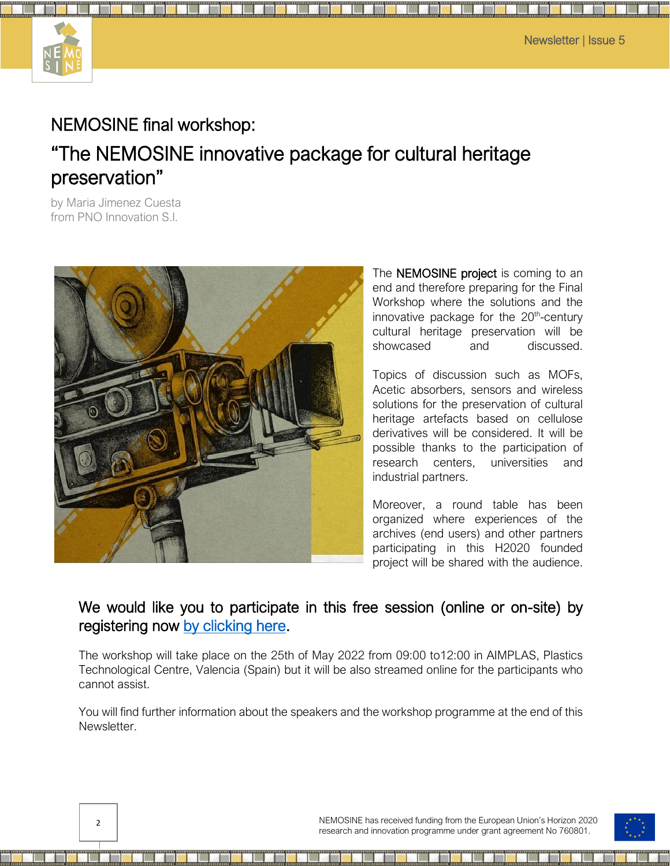## NEMOSINE final workshop:

## "The NEMOSINE innovative package for cultural heritage preservation"

by Maria Jimenez Cuesta from PNO Innovation S.l.



The **NEMOSINE** project is coming to an end and therefore preparing for the Final Workshop where the solutions and the innovative package for the 20<sup>th</sup>-century cultural heritage preservation will be showcased and discussed.

Topics of discussion such as MOFs, Acetic absorbers, sensors and wireless solutions for the preservation of cultural heritage artefacts based on cellulose derivatives will be considered. It will be possible thanks to the participation of research centers, universities and industrial partners.

Moreover, a round table has been organized where experiences of the archives (end users) and other partners participating in this H2020 founded project will be shared with the audience.

#### We would like you to participate in this free session (online or on-site) by registering now [by clicking here.](https://forms.office.com/r/2Ec0FKdLTB)

The workshop will take place on the 25th of May 2022 from 09:00 to12:00 in AIMPLAS, Plastics Technological Centre, Valencia (Spain) but it will be also streamed online for the participants who cannot assist.

You will find further information about the speakers and the workshop programme at the end of this Newsletter.

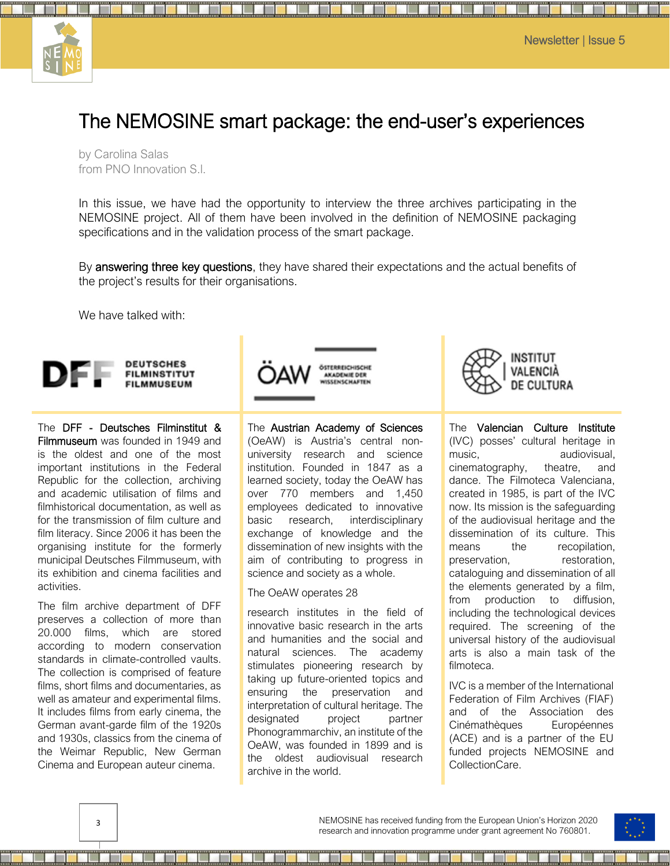

## The NEMOSINE smart package: the end-user's experiences

by Carolina Salas from PNO Innovation S.l.

In this issue, we have had the opportunity to interview the three archives participating in the NEMOSINE project. All of them have been involved in the definition of NEMOSINE packaging specifications and in the validation process of the smart package.

By answering three key questions, they have shared their expectations and the actual benefits of the project's results for their organisations.

We have talked with:



```
DEUTSCHES
FILMINSTITUT
 ILMMUSEUM
```
The DFF - Deutsches Filminstitut & Filmmuseum was founded in 1949 and is the oldest and one of the most important institutions in the Federal Republic for the collection, archiving and academic utilisation of films and filmhistorical documentation, as well as for the transmission of film culture and film literacy. Since 2006 it has been the organising institute for the formerly municipal Deutsches Filmmuseum, with its exhibition and cinema facilities and activities.

The film archive department of DFF preserves a collection of more than 20.000 films, which are stored according to modern conservation standards in climate-controlled vaults. The collection is comprised of feature films, short films and documentaries, as well as amateur and experimental films. It includes films from early cinema, the German avant-garde film of the 1920s and 1930s, classics from the cinema of the Weimar Republic, New German Cinema and European auteur cinema.



The Austrian Academy of Sciences (OeAW) is Austria's central nonuniversity research and science institution. Founded in 1847 as a learned society, today the OeAW has over 770 members and 1,450 employees dedicated to innovative basic research, interdisciplinary exchange of knowledge and the dissemination of new insights with the aim of contributing to progress in science and society as a whole.

The OeAW operates 28

research institutes in the field of innovative basic research in the arts and humanities and the social and natural sciences. The academy stimulates pioneering research by taking up future-oriented topics and ensuring the preservation and interpretation of cultural heritage. The designated project partner Phonogrammarchiv, an institute of the OeAW, was founded in 1899 and is the oldest audiovisual research archive in the world.



The Valencian Culture Institute (IVC) posses' cultural heritage in music. **audiovisual**, cinematography, theatre, and dance. The Filmoteca Valenciana, created in 1985, is part of the IVC now. Its mission is the safeguarding of the audiovisual heritage and the dissemination of its culture. This means the recopilation. preservation, restoration, cataloguing and dissemination of all the elements generated by a film, from production to diffusion, including the technological devices required. The screening of the universal history of the audiovisual arts is also a main task of the filmoteca.

IVC is a member of the International Federation of Film Archives (FIAF) and of the Association des Cinémathèques Européennes (ACE) and is a partner of the EU funded projects NEMOSINE and CollectionCare.

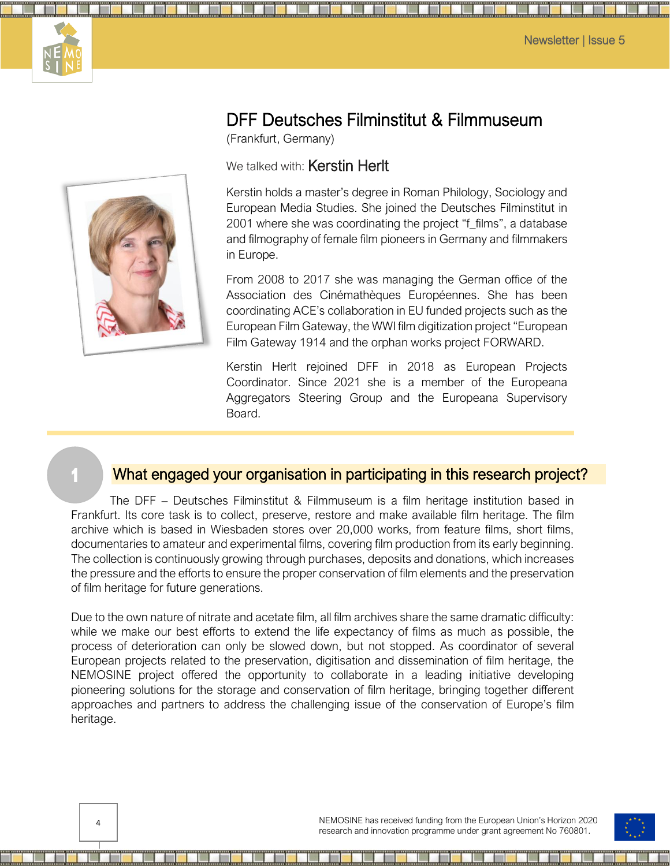

## DFF Deutsches Filminstitut & Filmmuseum

(Frankfurt, Germany)

We talked with: Kerstin Herlt

Kerstin holds a master's degree in Roman Philology, Sociology and European Media Studies. She joined the Deutsches Filminstitut in 2001 where she was coordinating the project "f\_films", a database and filmography of female film pioneers in Germany and filmmakers in Europe.

From 2008 to 2017 she was managing the German office of the Association des Cinémathèques Européennes. She has been coordinating ACE's collaboration in EU funded projects such as the European Film Gateway, the WWI film digitization project "European Film Gateway 1914 and the orphan works project FORWARD.

Kerstin Herlt rejoined DFF in 2018 as European Projects Coordinator. Since 2021 she is a member of the Europeana Aggregators Steering Group and the Europeana Supervisory Board.

#### What engaged your organisation in participating in this research project?

The DFF – Deutsches Filminstitut & Filmmuseum is a film heritage institution based in Frankfurt. Its core task is to collect, preserve, restore and make available film heritage. The film archive which is based in Wiesbaden stores over 20,000 works, from feature films, short films, documentaries to amateur and experimental films, covering film production from its early beginning. The collection is continuously growing through purchases, deposits and donations, which increases the pressure and the efforts to ensure the proper conservation of film elements and the preservation of film heritage for future generations.

Due to the own nature of nitrate and acetate film, all film archives share the same dramatic difficulty: while we make our best efforts to extend the life expectancy of films as much as possible, the process of deterioration can only be slowed down, but not stopped. As coordinator of several European projects related to the preservation, digitisation and dissemination of film heritage, the NEMOSINE project offered the opportunity to collaborate in a leading initiative developing pioneering solutions for the storage and conservation of film heritage, bringing together different approaches and partners to address the challenging issue of the conservation of Europe's film heritage.



1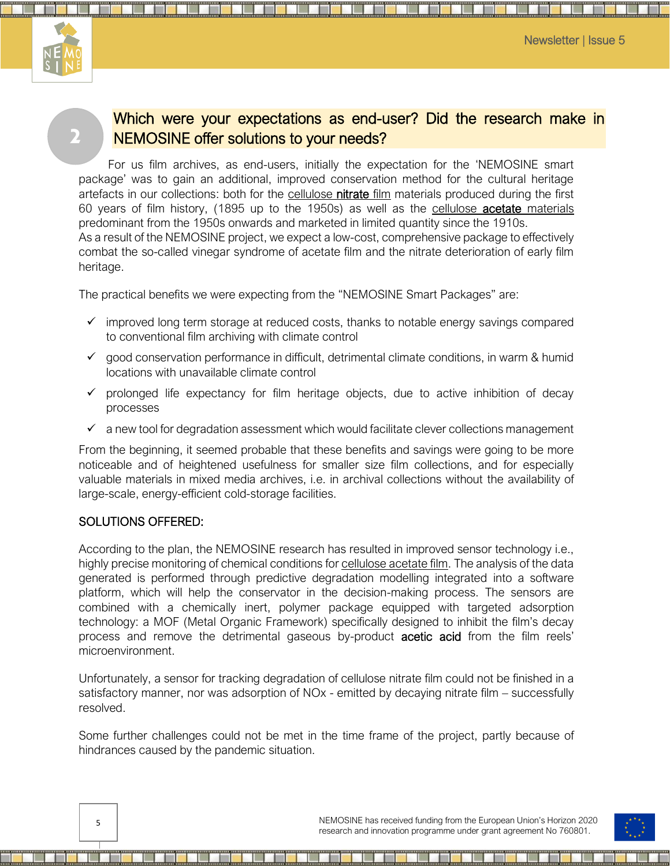

2

#### Which were your expectations as end-user? Did the research make in NEMOSINE offer solutions to your needs?

For us film archives, as end-users, initially the expectation for the 'NEMOSINE smart package' was to gain an additional, improved conservation method for the cultural heritage artefacts in our collections: both for the cellulose nitrate film materials produced during the first 60 years of film history, (1895 up to the 1950s) as well as the cellulose acetate materials predominant from the 1950s onwards and marketed in limited quantity since the 1910s. As a result of the NEMOSINE project, we expect a low-cost, comprehensive package to effectively combat the so-called vinegar syndrome of acetate film and the nitrate deterioration of early film heritage.

The practical benefits we were expecting from the "NEMOSINE Smart Packages" are:

- $\checkmark$  improved long term storage at reduced costs, thanks to notable energy savings compared to conventional film archiving with climate control
- $\checkmark$  good conservation performance in difficult, detrimental climate conditions, in warm & humid locations with unavailable climate control
- $\checkmark$  prolonged life expectancy for film heritage objects, due to active inhibition of decay processes
- $\checkmark$  a new tool for degradation assessment which would facilitate clever collections management

From the beginning, it seemed probable that these benefits and savings were going to be more noticeable and of heightened usefulness for smaller size film collections, and for especially valuable materials in mixed media archives, i.e. in archival collections without the availability of large-scale, energy-efficient cold-storage facilities.

#### SOLUTIONS OFFERED:

According to the plan, the NEMOSINE research has resulted in improved sensor technology i.e., highly precise monitoring of chemical conditions for cellulose acetate film. The analysis of the data generated is performed through predictive degradation modelling integrated into a software platform, which will help the conservator in the decision-making process. The sensors are combined with a chemically inert, polymer package equipped with targeted adsorption technology: a MOF (Metal Organic Framework) specifically designed to inhibit the film's decay process and remove the detrimental gaseous by-product acetic acid from the film reels' microenvironment.

Unfortunately, a sensor for tracking degradation of cellulose nitrate film could not be finished in a satisfactory manner, nor was adsorption of NOx - emitted by decaying nitrate film – successfully resolved.

Some further challenges could not be met in the time frame of the project, partly because of hindrances caused by the pandemic situation.

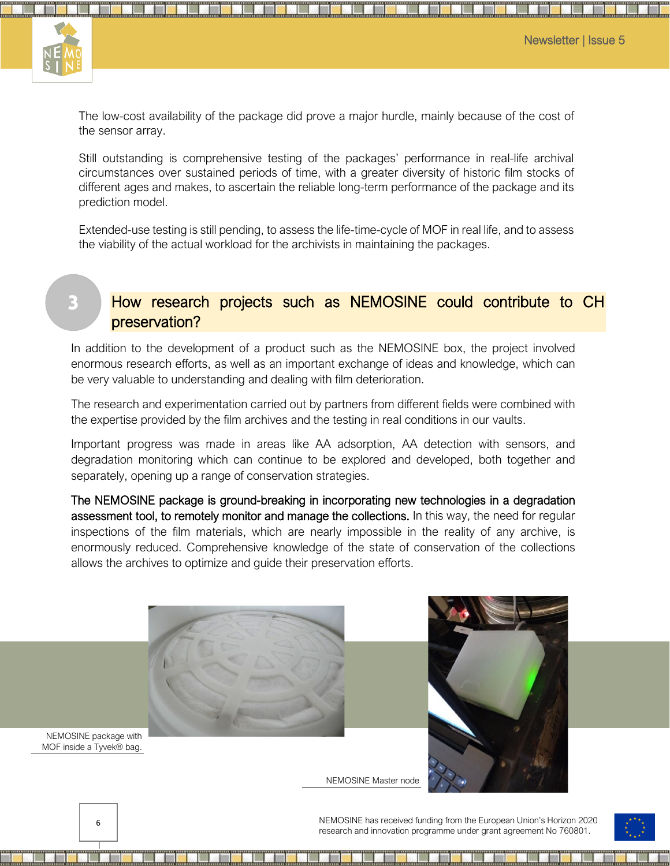

The low-cost availability of the package did prove a major hurdle, mainly because of the cost of the sensor array.

Still outstanding is comprehensive testing of the packages' performance in real-life archival circumstances over sustained periods of time, with a greater diversity of historic film stocks of different ages and makes, to ascertain the reliable long-term performance of the package and its prediction model.

Extended-use testing is still pending, to assess the life-time-cycle of MOF in real life, and to assess the viability of the actual workload for the archivists in maintaining the packages.

3

#### How research projects such as NEMOSINE could contribute to CH preservation?

In addition to the development of a product such as the NEMOSINE box, the project involved enormous research efforts, as well as an important exchange of ideas and knowledge, which can be very valuable to understanding and dealing with film deterioration.

The research and experimentation carried out by partners from different fields were combined with the expertise provided by the film archives and the testing in real conditions in our vaults.

Important progress was made in areas like AA adsorption, AA detection with sensors, and degradation monitoring which can continue to be explored and developed, both together and separately, opening up a range of conservation strategies.

The NEMOSINE package is ground-breaking in incorporating new technologies in a degradation assessment tool, to remotely monitor and manage the collections. In this way, the need for regular inspections of the film materials, which are nearly impossible in the reality of any archive, is enormously reduced. Comprehensive knowledge of the state of conservation of the collections allows the archives to optimize and guide their preservation efforts.





NEMOSINE Master node

NEMOSINE package with MOF inside a Tyvek® bag.

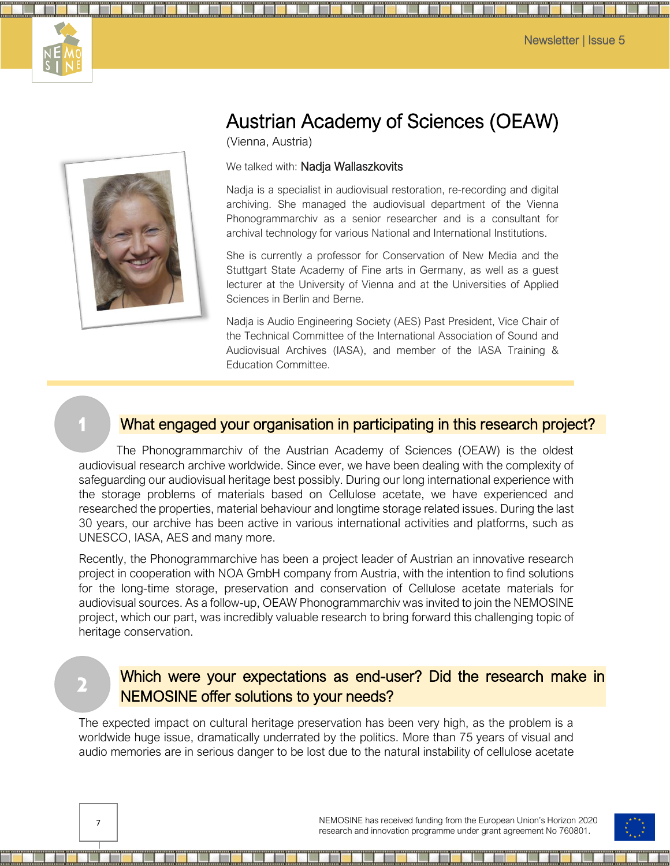



1

## Austrian Academy of Sciences (OEAW)

(Vienna, Austria)

We talked with: Nadja Wallaszkovits

Nadja is a specialist in audiovisual restoration, re-recording and digital archiving. She managed the audiovisual department of the Vienna Phonogrammarchiv as a senior researcher and is a consultant for archival technology for various National and International Institutions.

She is currently a professor for Conservation of New Media and the Stuttgart State Academy of Fine arts in Germany, as well as a guest lecturer at the University of Vienna and at the Universities of Applied Sciences in Berlin and Berne.

Nadja is Audio Engineering Society (AES) Past President, Vice Chair of the Technical Committee of the International Association of Sound and Audiovisual Archives (IASA), and member of the IASA Training & Education Committee.

#### What engaged your organisation in participating in this research project?

The Phonogrammarchiv of the Austrian Academy of Sciences (OEAW) is the oldest audiovisual research archive worldwide. Since ever, we have been dealing with the complexity of safeguarding our audiovisual heritage best possibly. During our long international experience with the storage problems of materials based on Cellulose acetate, we have experienced and researched the properties, material behaviour and longtime storage related issues. During the last 30 years, our archive has been active in various international activities and platforms, such as UNESCO, IASA, AES and many more.

Recently, the Phonogrammarchive has been a project leader of Austrian an innovative research project in cooperation with NOA GmbH company from Austria, with the intention to find solutions for the long-time storage, preservation and conservation of Cellulose acetate materials for audiovisual sources. As a follow-up, OEAW Phonogrammarchiv was invited to join the NEMOSINE project, which our part, was incredibly valuable research to bring forward this challenging topic of heritage conservation.

#### Which were your expectations as end-user? Did the research make in NEMOSINE offer solutions to your needs?

The expected impact on cultural heritage preservation has been very high, as the problem is a worldwide huge issue, dramatically underrated by the politics. More than 75 years of visual and audio memories are in serious danger to be lost due to the natural instability of cellulose acetate

7 NEMOSINE has received funding from the European Union's Horizon 2020 research and innovation programme under grant agreement No 760801.



2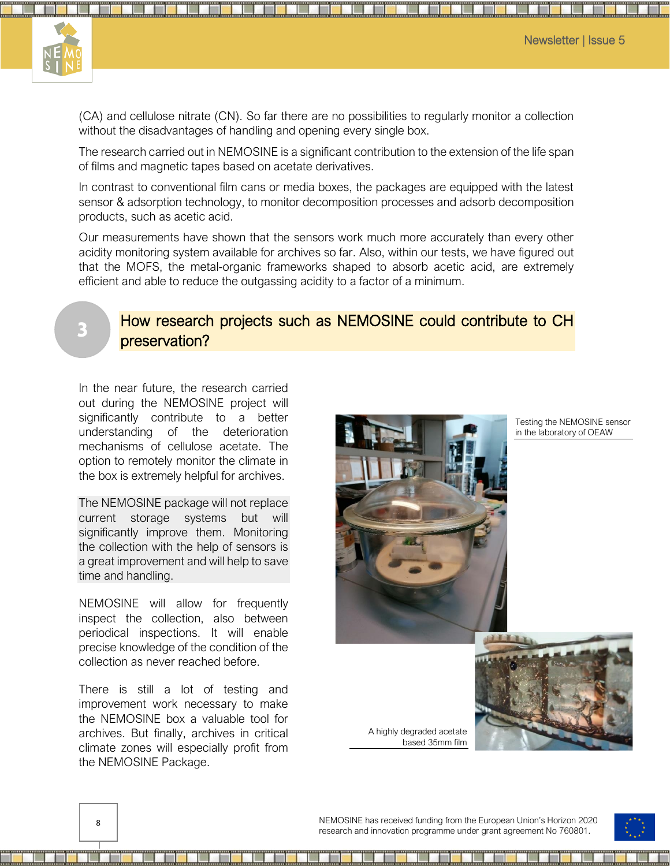

(CA) and cellulose nitrate (CN). So far there are no possibilities to regularly monitor a collection without the disadvantages of handling and opening every single box.

The research carried out in NEMOSINE is a significant contribution to the extension of the life span of films and magnetic tapes based on acetate derivatives.

In contrast to conventional film cans or media boxes, the packages are equipped with the latest sensor & adsorption technology, to monitor decomposition processes and adsorb decomposition products, such as acetic acid.

Our measurements have shown that the sensors work much more accurately than every other acidity monitoring system available for archives so far. Also, within our tests, we have figured out that the MOFS, the metal-organic frameworks shaped to absorb acetic acid, are extremely efficient and able to reduce the outgassing acidity to a factor of a minimum.



#### How research projects such as NEMOSINE could contribute to CH preservation?

In the near future, the research carried out during the NEMOSINE project will significantly contribute to a better understanding of the deterioration mechanisms of cellulose acetate. The option to remotely monitor the climate in the box is extremely helpful for archives.

The NEMOSINE package will not replace current storage systems but will significantly improve them. Monitoring the collection with the help of sensors is a great improvement and will help to save time and handling.

NEMOSINE will allow for frequently inspect the collection, also between periodical inspections. It will enable precise knowledge of the condition of the collection as never reached before.

There is still a lot of testing and improvement work necessary to make the NEMOSINE box a valuable tool for archives. But finally, archives in critical climate zones will especially profit from the NEMOSINE Package.



Testing the NEMOSINE sensor in the laboratory of OEAW

A highly degraded acetate based 35mm film



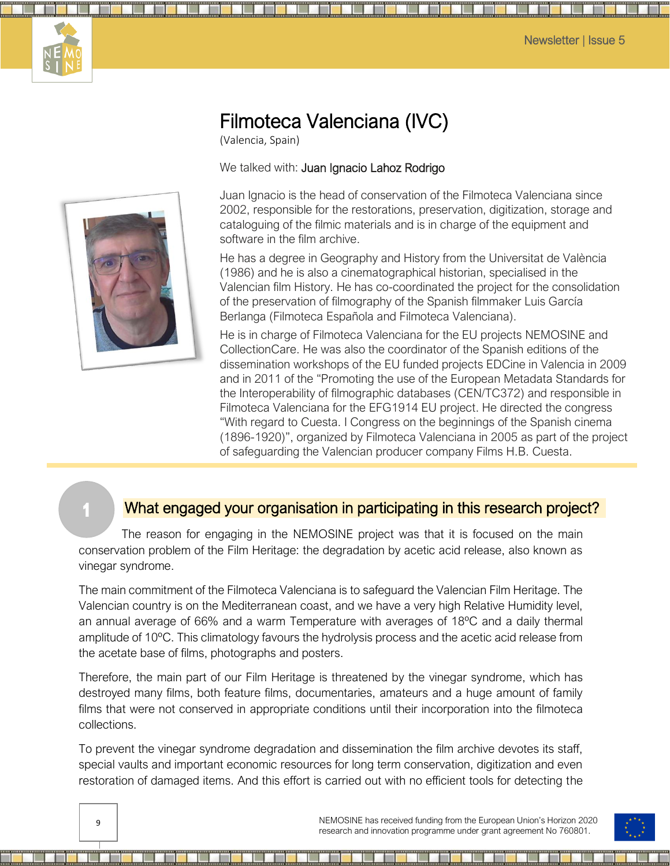

## Filmoteca Valenciana (IVC)

(Valencia, Spain)

We talked with: Juan Ignacio Lahoz Rodrigo

Juan Ignacio is the head of conservation of the Filmoteca Valenciana since 2002, responsible for the restorations, preservation, digitization, storage and cataloguing of the filmic materials and is in charge of the equipment and software in the film archive.

He has a degree in Geography and History from the Universitat de València (1986) and he is also a cinematographical historian, specialised in the Valencian film History. He has co-coordinated the project for the consolidation of the preservation of filmography of the Spanish filmmaker Luis García Berlanga (Filmoteca Española and Filmoteca Valenciana).

He is in charge of Filmoteca Valenciana for the EU projects NEMOSINE and CollectionCare. He was also the coordinator of the Spanish editions of the dissemination workshops of the EU funded projects EDCine in Valencia in 2009 and in 2011 of the "Promoting the use of the European Metadata Standards for the Interoperability of filmographic databases (CEN/TC372) and responsible in Filmoteca Valenciana for the EFG1914 EU project. He directed the congress "With regard to Cuesta. I Congress on the beginnings of the Spanish cinema (1896-1920)", organized by Filmoteca Valenciana in 2005 as part of the project of safeguarding the Valencian producer company Films H.B. Cuesta.

#### What engaged your organisation in participating in this research project?

The reason for engaging in the NEMOSINE project was that it is focused on the main conservation problem of the Film Heritage: the degradation by acetic acid release, also known as vinegar syndrome.

The main commitment of the Filmoteca Valenciana is to safeguard the Valencian Film Heritage. The Valencian country is on the Mediterranean coast, and we have a very high Relative Humidity level, an annual average of 66% and a warm Temperature with averages of 18ºC and a daily thermal amplitude of 10ºC. This climatology favours the hydrolysis process and the acetic acid release from the acetate base of films, photographs and posters.

Therefore, the main part of our Film Heritage is threatened by the vinegar syndrome, which has destroyed many films, both feature films, documentaries, amateurs and a huge amount of family films that were not conserved in appropriate conditions until their incorporation into the filmoteca collections.

To prevent the vinegar syndrome degradation and dissemination the film archive devotes its staff, special vaults and important economic resources for long term conservation, digitization and even restoration of damaged items. And this effort is carried out with no efficient tools for detecting the



9 NEMOSINE has received funding from the European Union's Horizon 2020 research and innovation programme under grant agreement No 760801.



1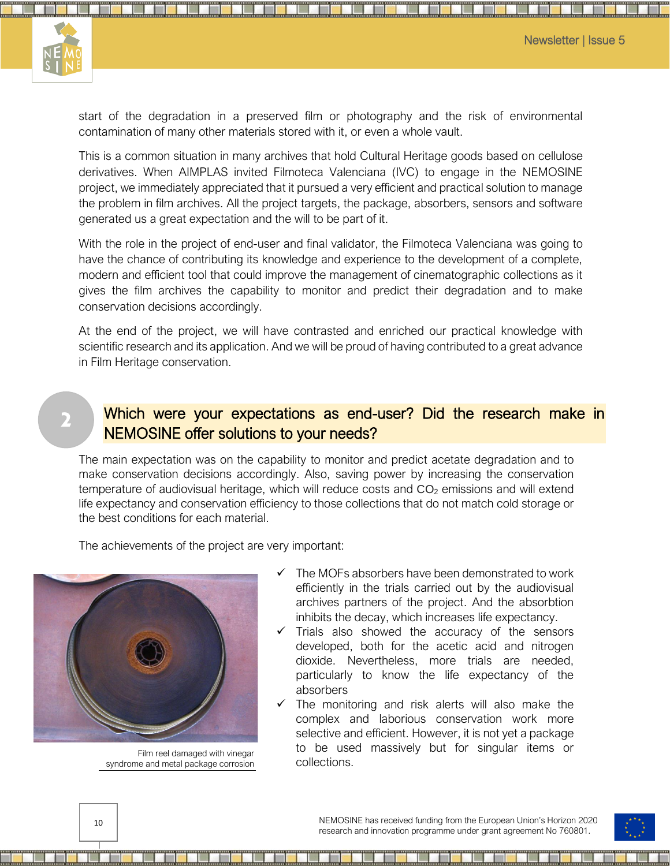

start of the degradation in a preserved film or photography and the risk of environmental contamination of many other materials stored with it, or even a whole vault.

This is a common situation in many archives that hold Cultural Heritage goods based on cellulose derivatives. When AIMPLAS invited Filmoteca Valenciana (IVC) to engage in the NEMOSINE project, we immediately appreciated that it pursued a very efficient and practical solution to manage the problem in film archives. All the project targets, the package, absorbers, sensors and software generated us a great expectation and the will to be part of it.

With the role in the project of end-user and final validator, the Filmoteca Valenciana was going to have the chance of contributing its knowledge and experience to the development of a complete, modern and efficient tool that could improve the management of cinematographic collections as it gives the film archives the capability to monitor and predict their degradation and to make conservation decisions accordingly.

At the end of the project, we will have contrasted and enriched our practical knowledge with scientific research and its application. And we will be proud of having contributed to a great advance in Film Heritage conservation.

2

#### Which were your expectations as end-user? Did the research make in NEMOSINE offer solutions to your needs?

The main expectation was on the capability to monitor and predict acetate degradation and to make conservation decisions accordingly. Also, saving power by increasing the conservation temperature of audiovisual heritage, which will reduce costs and  $CO<sub>2</sub>$  emissions and will extend life expectancy and conservation efficiency to those collections that do not match cold storage or the best conditions for each material.

The achievements of the project are very important:



Film reel damaged with vinegar syndrome and metal package corrosion

- $\checkmark$  The MOFs absorbers have been demonstrated to work efficiently in the trials carried out by the audiovisual archives partners of the project. And the absorbtion inhibits the decay, which increases life expectancy.
- ✓ Trials also showed the accuracy of the sensors developed, both for the acetic acid and nitrogen dioxide. Nevertheless, more trials are needed, particularly to know the life expectancy of the absorbers
- $\checkmark$  The monitoring and risk alerts will also make the complex and laborious conservation work more selective and efficient. However, it is not yet a package to be used massively but for singular items or collections.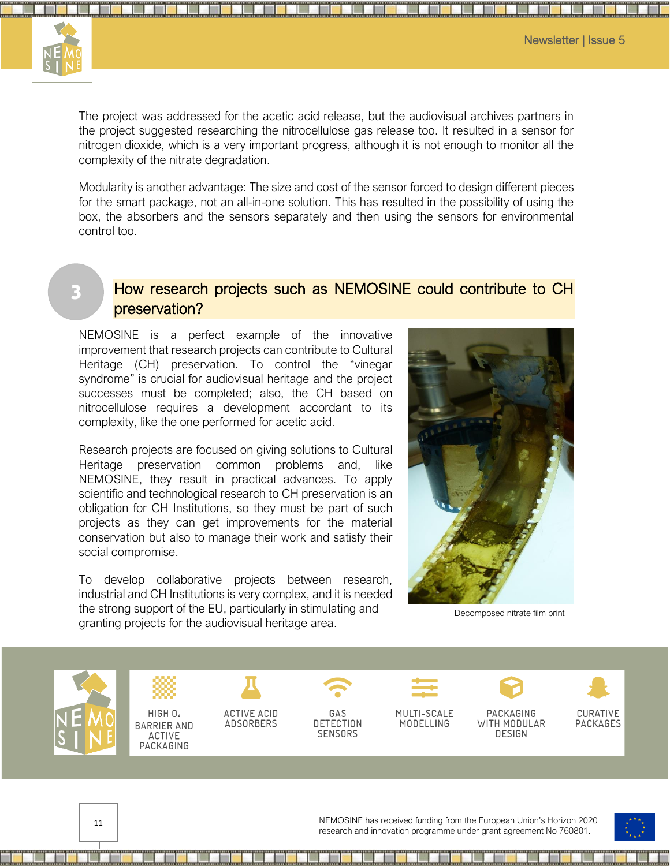

The project was addressed for the acetic acid release, but the audiovisual archives partners in the project suggested researching the nitrocellulose gas release too. It resulted in a sensor for nitrogen dioxide, which is a very important progress, although it is not enough to monitor all the complexity of the nitrate degradation.

Modularity is another advantage: The size and cost of the sensor forced to design different pieces for the smart package, not an all-in-one solution. This has resulted in the possibility of using the box, the absorbers and the sensors separately and then using the sensors for environmental control too.

3

#### How research projects such as NEMOSINE could contribute to CH preservation?

NEMOSINE is a perfect example of the innovative improvement that research projects can contribute to Cultural Heritage (CH) preservation. To control the "vinegar syndrome" is crucial for audiovisual heritage and the project successes must be completed; also, the CH based on nitrocellulose requires a development accordant to its complexity, like the one performed for acetic acid.

Research projects are focused on giving solutions to Cultural Heritage preservation common problems and, like NEMOSINE, they result in practical advances. To apply scientific and technological research to CH preservation is an obligation for CH Institutions, so they must be part of such projects as they can get improvements for the material conservation but also to manage their work and satisfy their social compromise.

To develop collaborative projects between research, industrial and CH Institutions is very complex, and it is needed the strong support of the EU, particularly in stimulating and granting projects for the audiovisual heritage area.



Decomposed nitrate film print